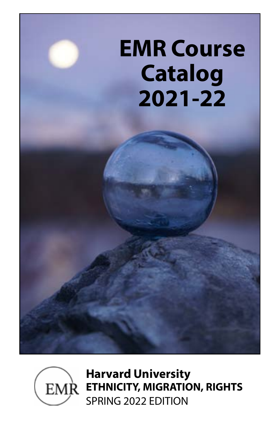



**Harvard University EMR ETHNICITY, MIGRATION, RIGHTS** SPRING 2022 EDITION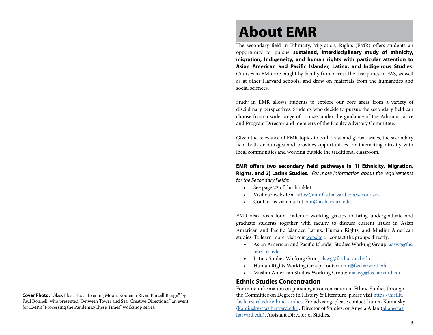# **About EMR**

The secondary field in Ethnicity, Migration, Rights (EMR) offers students an opportunity to pursue **sustained, interdisciplinary study of ethnicity, migration, Indigeneity, and human rights with particular attention to Asian American and Pacific Islander, Latinx, and Indigenous Studies**. Courses in EMR are taught by faculty from across the disciplines in FAS, as well as at other Harvard schools, and draw on materials from the humanities and social sciences.

Study in EMR allows students to explore our core areas from a variety of disciplinary perspectives. Students who decide to pursue the secondary field can choose from a wide range of courses under the guidance of the Administrative and Program Director and members of the Faculty Advisory Committee.

Given the relevance of EMR topics to both local and global issues, the secondary field both encourages and provides opportunities for interacting directly with local communities and working outside the traditional classroom.

**EMR offers two secondary field pathways in 1) Ethnicity, Migration, Rights, and 2) Latinx Studies.** *For more information about the requirements for the Secondary Fields:*

- See page 22 of this booklet.
- Visit our website at https://emr.fas.harvard.edu/secondary.
- Contact us via email at [emr@fas.harvard.edu.](mailto:emr.fas.harvard.edu?subject=Secondary%20Field%20Inquiry)

EMR also hosts four academic working groups to bring undergraduate and graduate students together with faculty to discuss current issues in Asian American and Pacific Islander, Latinx, Human Rights, and Muslim American studies. To learn more, visit our [website](https://emr.fas.harvard.edu/) or contact the groups directly:

- Asian American and Pacific Islander Studies Working Group: [aaswg@fas.](mailto:aaswg%40fas.harvard.edu?subject=Hello%21) [harvard.edu](mailto:aaswg%40fas.harvard.edu?subject=Hello%21)
- Latinx Studies Working Group: *swg@fas.harvard.edu*
- Human Rights Working Group: contact [emr@fas.harvard.edu](mailto:emr@fas.harvard.edu)
- Muslim American Studies Working Group: maswg@fas.harvard.edu

### **Ethnic Studies Concentration**

For more information on pursuing a concentration in Ethnic Studies through the Committee on Degrees in History & Literature, please visit https://histlit. fas.harvard.edu/ethnic-studies. For advising, please contact Lauren Kaminsky [\(kaminsky@fas.harvard.edu](mailto:kaminsky%40fas.harvard.edu?subject=Interest%20in%20Ethnic%20Studies%20Concentration%21%20)), Director of Studies, or Angela Allan ([allan@fas.](mailto:allan%40fas.harvard.edu?subject=) [harvard.edu](mailto:allan%40fas.harvard.edu?subject=)), Assistant Director of Studies.

**Cover Photo:** "Glass Float No. 5. Evening Moon. Kootenai River. Purcell Range." by Paul Bonnell, who presented "Between Tower and Sea: Creative Directions," an event for EMR's "Processing the Pandemic/These Times" workshop series.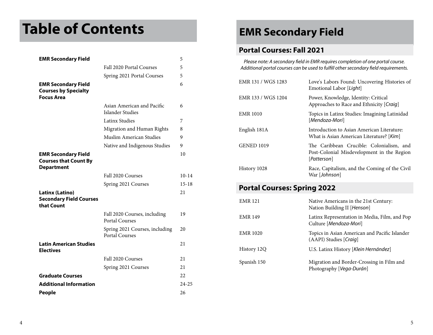# **Table of Contents**

| <b>EMR Secondary Field</b>                                                      |                                                         | 5         |
|---------------------------------------------------------------------------------|---------------------------------------------------------|-----------|
|                                                                                 | Fall 2020 Portal Courses                                | 5         |
|                                                                                 | Spring 2021 Portal Courses                              | 5         |
| <b>EMR Secondary Field</b><br><b>Courses by Specialty</b><br><b>Focus Area</b>  |                                                         | 6         |
|                                                                                 | Asian American and Pacific<br>Islander Studies          | 6         |
|                                                                                 | <b>Latinx Studies</b>                                   | 7         |
|                                                                                 | Migration and Human Rights                              | 8         |
|                                                                                 | Muslim American Studies                                 | 9         |
|                                                                                 | Native and Indigenous Studies                           | 9         |
| <b>EMR Secondary Field</b><br><b>Courses that Count By</b><br><b>Department</b> |                                                         | 10        |
|                                                                                 | Fall 2020 Courses                                       | $10 - 14$ |
|                                                                                 | Spring 2021 Courses                                     | $15 - 18$ |
| Latinx (Latino)<br><b>Secondary Field Courses</b><br>that Count                 |                                                         | 21        |
|                                                                                 | Fall 2020 Courses, including<br><b>Portal Courses</b>   | 19        |
|                                                                                 | Spring 2021 Courses, including<br><b>Portal Courses</b> | 20        |
| <b>Latin American Studies</b><br><b>Electives</b>                               |                                                         | 21        |
|                                                                                 | Fall 2020 Courses                                       | 21        |
|                                                                                 | Spring 2021 Courses                                     | 21        |
| <b>Graduate Courses</b>                                                         |                                                         | 22        |
| <b>Additional Information</b>                                                   |                                                         | $24 - 25$ |
| <b>People</b>                                                                   |                                                         | 26        |

## **EMR Secondary Field**

### **Portal Courses: Fall 2021**

*Please note: A secondary field in EMR requires completion of one portal course. Additional portal courses can be used to fulfill other secondary field requirements.*

| EMR 131 / WGS 1283 | Love's Labors Found: Uncovering Histories of<br>Emotional Labor [Light]                               |
|--------------------|-------------------------------------------------------------------------------------------------------|
| EMR 133 / WGS 1204 | Power, Knowledge, Identity: Critical<br>Approaches to Race and Ethnicity [Craig]                      |
| <b>EMR 1010</b>    | Topics in Latinx Studies: Imagining Latinidad<br>[Mendoza-Mori]                                       |
| English 181A       | Introduction to Asian American Literature:<br>What is Asian American Literature? [Kim]                |
| <b>GENED 1019</b>  | The Caribbean Crucible: Colonialism, and<br>Post-Colonial Misdevelopment in the Region<br>[Patterson] |
| History 1028       | Race, Capitalism, and the Coming of the Civil<br>War [Johnson]                                        |
|                    |                                                                                                       |

### **Portal Courses: Spring 2022**

| EMR 121     | Native Americans in the 21st Century:<br>Nation Building II [Henson]    |
|-------------|-------------------------------------------------------------------------|
| EMR 149     | Latinx Representation in Media, Film, and Pop<br>Culture [Mendoza-Mori] |
| EMR 1020    | Topics in Asian American and Pacific Islander<br>(AAPI) Studies [Craig] |
| History 12Q | U.S. Latinx History [Klein Hernández]                                   |
| Spanish 150 | Migration and Border-Crossing in Film and<br>Photography [Vega-Durán]   |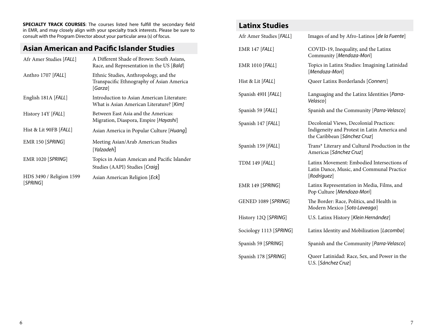**SPECIALTY TRACK COURSES**: The courses listed here fulfill the secondary field in EMR, and may closely align with your specialty track interests. Please be sure to consult with the Program Director about your particular area (s) of focus.

## **Asian American and Pacific Islander Studies**

| Afr Amer Studies [FALL]              | A Different Shade of Brown: South Asians,<br>Race, and Representation in the US [Bald]        |
|--------------------------------------|-----------------------------------------------------------------------------------------------|
| Anthro 1707 [FALL]                   | Ethnic Studies, Anthropology, and the<br>Transpacific Ethnography of Asian America<br>[Garza] |
| English 181A [FALL]                  | Introduction to Asian American Literature:<br>What is Asian American Literature? [Kim]        |
| History 14Y [FALL]                   | Between East Asia and the Americas:<br>Migration, Diaspora, Empire [ <i>Hayashi</i> ]         |
| Hist & Lit 90FB [FALL]               | Asian America in Popular Culture [Huang]                                                      |
| $EMR$ 150 [SPRING]                   | Meeting Asian/Arab American Studies<br>[Yalzadeh]                                             |
| <b>EMR 1020 [SPRING]</b>             | Topics in Asian Ameican and Pacific Islander<br>Studies (AAPI) Studies [Craig]                |
| HDS 3490 / Religion 1599<br>[SPRING] | Asian American Religion [Eck]                                                                 |

### **Latinx Studies**

| Afr Amer Studies [FALL] | Images of and by Afro-Latinos [de la Fuente]                                                                            |
|-------------------------|-------------------------------------------------------------------------------------------------------------------------|
| <b>EMR 147 [FALL]</b>   | COVID-19, Inequality, and the Latinx<br>Community [Mendoza-Mori]                                                        |
| EMR 1010 [FALL]         | Topics in Latinx Studies: Imagining Latinidad<br>[Mendoza-Mori]                                                         |
| Hist & Lit [FALL]       | Queer Latinx Borderlands [Conners]                                                                                      |
| Spanish 49H [FALL]      | Languaging and the Latinx Identities [Parra-<br>Velasco]                                                                |
| Spanish 59 [FALL]       | Spanish and the Community [Parra-Velasco]                                                                               |
| Spanish 147 [FALL]      | Decolonial Views, Decolonial Practices:<br>Indigeneity and Protest in Latin America and<br>the Caribbean [Sánchez Cruz] |
| Spanish 159 [FALL]      | Trans* Literary and Cultural Production in the<br>Americas [Sánchez Cruz]                                               |
| <b>TDM 149 [FALL]</b>   | Latinx Movement: Embodied Intersections of<br>Latin Dance, Music, and Communal Practice<br>[Rodríguez]                  |
| EMR 149 [SPRING]        | Latinx Representation in Media, Films, and<br>Pop Culture [Mendoza-Mori]                                                |
| GENED 1089 [SPRING]     | The Border: Race, Politics, and Health in<br>Modern Mexico [Soto Laveaga]                                               |
| History 12Q [SPRING]    | U.S. Latinx History [Klein Hernández]                                                                                   |
| Sociology 1113 [SPRING] | Latinx Identity and Mobilization [Lacomba]                                                                              |
| Spanish 59 [SPRING]     | Spanish and the Community [Parra-Velasco]                                                                               |
| Spanish 178 [SPRING]    | Queer Latinidad: Race, Sex, and Power in the<br>U.S. [Sánchez Cruz]                                                     |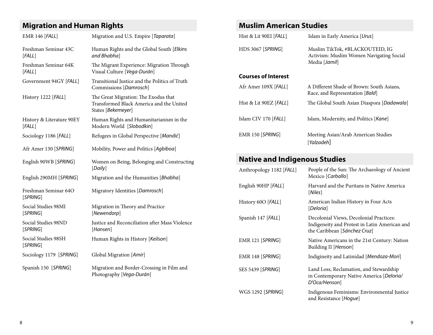## **Migration and Human Rights Muslim American Studies**

| <b>EMR 146 [FALL]</b>                       | Migration and U.S. Empire [Taparata]                                                                   | Hist & Lit 90EI [FALL]                             | Islam in Early America [Urus]                                                                                            |  |
|---------------------------------------------|--------------------------------------------------------------------------------------------------------|----------------------------------------------------|--------------------------------------------------------------------------------------------------------------------------|--|
| Freshman Seminar 43C<br>[FALSE]             | Human Rights and the Global South [Elkins<br>and Bhabha]                                               | HDS 3067 [SPRING]                                  | Muslim TikTok, #BLACKOUTEID, IG<br>Activism: Muslim Women Navigating Social                                              |  |
| Freshman Seminar 64K<br>[FALSE]             | The Migrant Experience: Migration Through<br>Visual Culture [Vega-Durán]                               |                                                    | Media [Jamil]                                                                                                            |  |
| Government 94GY [FALL]                      | Transitional Justice and the Politics of Truth<br>Commissions [Damrosch]                               | <b>Courses of Interest</b><br>Afr Amer 109X [FALL] | A Different Shade of Brown: South Asians,                                                                                |  |
| History 1222 [FALL]                         | The Great Migration: The Exodus that<br>Transformed Black America and the United<br>States [Bekemeyer] | Hist & Lit 90EZ [FALL]                             | Race, and Representation [Bald]<br>The Global South Asian Diaspora [Dadawala]                                            |  |
| History & Literature 90EY<br>[FALL]         | Human Rights and Humanitarianism in the<br>Modern World [Slobodkin]                                    | Islam CIV 170 [FALL]                               | Islam, Modernity, and Politics [Kane]                                                                                    |  |
| Sociology 1186 [FALL]                       | Refugees in Global Perspective [Mandić]                                                                | EMR 150 [SPRING]                                   | Meeting Asian/Arab American Studies<br>[Yalzadeh]                                                                        |  |
| Afr Amer 130 [SPRING]                       | Mobility, Power and Politics [Agbiboa]                                                                 |                                                    |                                                                                                                          |  |
| English 90WB [SPRING]                       | Women on Being, Belonging and Constructing                                                             |                                                    | <b>Native and Indigenous Studies</b>                                                                                     |  |
| English 290MH [SPRING]                      | [Daily]<br>Migration and the Humanities [Bhabha]                                                       | Anthropology 1182 [FALL]                           | People of the Sun: The Archaeology of Ancient<br>Mexico [Carballo]                                                       |  |
| Freshman Seminar 64O                        | Migratory Identities [Damrosch]                                                                        | English 90HP [FALL]                                | Harvard and the Puritans in Native America<br>[Niles]                                                                    |  |
| [SPRING]<br>Social Studies 98MI<br>[SPRING] | Migration in Theory and Practice<br>[Newendorp]                                                        | History 60O [FALL]                                 | American Indian History in Four Acts<br>[Deloria]                                                                        |  |
| Social Studies 98ND<br>[SPRING]             | Justice and Reconciliation after Mass Violence<br>[Hansen]                                             | Spanish 147 [FALL]                                 | Decolonial Views, Decolonial Practices:<br>Indigeneity and Protest in Latin American and<br>the Caribbean [Sánchez Cruz] |  |
| Social Studies 98SH<br>[SPRING]             | Human Rights in History [Keilson]                                                                      | EMR 121 [SPRING]                                   | Native Americans in the 21st Century: Nation<br>Building II [Henson]                                                     |  |
| Sociology 1179 [SPRING]                     | Global Migration [Amir]                                                                                | EMR 148 [SPRING]                                   | Indigineity and Latinidad [Mendoza-Mori]                                                                                 |  |
| Spanish 150 [SPRING]                        | Migration and Border-Crossing in Film and<br>Photography [Vega-Durán]                                  | SES 5439 [SPRING]                                  | Land Loss, Reclamation, and Stewardship<br>in Contemporary Native America [Deloria/<br>D'Oca/Henson]                     |  |
|                                             |                                                                                                        | WGS 1292 [SPRING]                                  | Indigenous Feminisms: Environmental Justice                                                                              |  |

and Resistance [*Hogue*]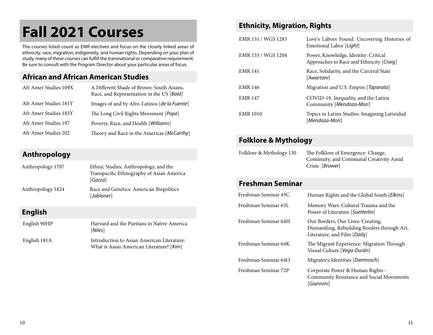# **Fall 2021 Courses**

The courses listed count as EMR electives and focus on the closely linked areas of ethnicity, race, migration, indigeneity, and human rights. Depending on your plan of study, many of these courses can fulfill the transnational or comparative requirement. Be sure to consult with the Program Director about your particular areas of focus.

### **African and African American Studies**

| Afr Amer Studies 109X | A Different Shade of Brown: South Asians,<br>Race, and Representation in the US [Bald] |
|-----------------------|----------------------------------------------------------------------------------------|
| Afr Amer Studies 181Y | Images of and by Afro-Latinos [de la Fuente]                                           |
| Afr Amer Studies 183Y | The Long Civil Rights Movement [ <i>Pope</i> ]                                         |
| Afr Amer Studies 197  | Poverty, Race, and Health [Williams]                                                   |
| Afr Amer Studies 202  | Theory and Race in the Americas [McCarthy]                                             |

## **Anthropology**

| Anthropology 1707 | Ethnic Studies, Anthropology, and the<br>Transpacific Ethnography of Asian America<br>[Garza] |
|-------------------|-----------------------------------------------------------------------------------------------|
| Anthropology 1824 | Race and Genetics: American Biopolitics<br>[Jabloner]                                         |
| <b>English</b>    |                                                                                               |
| English 90HP      | Harvard and the Puritans in Native America<br>[Niles]                                         |
| English 181A      | Introduction to Asian American Literature:<br>What is Asian American Literature? [Kim]        |

### **Ethnicity, Migration, Rights**

| EMR 131 / WGS 1283 | Love's Labors Found: Uncovering Histories of<br>Emotional Labor [Light]          |
|--------------------|----------------------------------------------------------------------------------|
| EMR 133 / WGS 1204 | Power, Knowledge, Identity: Critical<br>Approaches to Race and Ethnicity [Craig] |
| <b>EMR 141</b>     | Race, Solidarity, and the Carceral State<br>[Awartani]                           |
| <b>EMR 146</b>     | Migration and U.S. Empire [ <i>Taparata</i> ]                                    |
| <b>EMR 147</b>     | COVID-19, Inequality, and the Latinx<br>Community [Mendoza-Mori]                 |
| <b>EMR 1010</b>    | Topics in Latinx Studies: Imagining Latinidad<br>[Mendoza-Mori]                  |

## **Folklore & Mythology**

| Folklore & Mythology 130 | The Folklore of Emergency: Change,       |
|--------------------------|------------------------------------------|
|                          | Continuity, and Communal Creativity Amid |
|                          | Crisis [ <i>Brower</i> ]                 |

## **Freshman Seminar**

| Freshman Seminar 43C | Human Rights and the Global South [ <i>Elkins</i> ]                                                               |
|----------------------|-------------------------------------------------------------------------------------------------------------------|
| Freshman Seminar 63L | Memory Wars: Cultural Trauma and the<br>Power of Literature [Suetterlin]                                          |
| Freshman Seminar 64H | Our Borders, Our Lives: Creating,<br>Dismantling, Rebuilding Borders through Art,<br>Literature, and Film [Daily] |
| Freshman Seminar 64K | The Migrant Experience: Migration Through<br>Visual Culture [Vega-Durán]                                          |
| Freshman Seminar 64O | Migratory Identities [Damrosch]                                                                                   |
| Freshman Seminar 72P | Corporate Power & Human Rights--<br><b>Community Resistance and Social Movements</b><br><i><b>Giannini</b></i>    |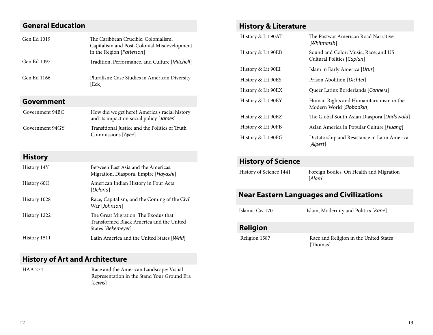## **General Education**

| Gen Ed 1019 | The Caribbean Crucible: Colonialism,<br>Capitalism and Post-Colonial Misdevelopment<br>in the Region [Patterson] |
|-------------|------------------------------------------------------------------------------------------------------------------|
| Gen Ed 1097 | Tradition, Performance, and Culture [ <i>Mitchell</i> ]                                                          |
| Gen Ed 1166 | Pluralism: Case Studies in American Diversity<br>[Eck]                                                           |

### **Government**

| Government 94BC | How did we get here? America's racial history<br>and its impact on social policy [ <i>James</i> ] |
|-----------------|---------------------------------------------------------------------------------------------------|
| Government 94GY | Transitional Justice and the Politics of Truth<br>Commissions [Ayee]                              |

### **History**

| History 14Y  | Between East Asia and the Americas:<br>Migration, Diaspora, Empire [Hayashi]                           |
|--------------|--------------------------------------------------------------------------------------------------------|
| History 60O  | American Indian History in Four Acts<br>[Deloria]                                                      |
| History 1028 | Race, Capitalism, and the Coming of the Civil<br>War [Johnson]                                         |
| History 1222 | The Great Migration: The Exodus that<br>Transformed Black America and the United<br>States [Bekemeyer] |
| History 1511 | Latin America and the United States [Weld]                                                             |

### **History of Art and Architecture**

HAA 274 Race and the American Landscape: Visual Representation in the Stand Your Ground Era [*Lewis*]

### **History & Literature**

| History & Lit 90AT | The Postwar American Road Narrative<br>[Whitmarsh]                  |
|--------------------|---------------------------------------------------------------------|
| History & Lit 90EB | Sound and Color: Music, Race, and US<br>Cultural Politics [Caplan]  |
| History & Lit 90EI | Islam in Early America [Urus]                                       |
| History & Lit 90ES | Prison Abolition [Dichter]                                          |
| History & Lit 90EX | Queer Latinx Borderlands [Conners]                                  |
| History & Lit 90EY | Human Rights and Humanitarianism in the<br>Modern World [Slobodkin] |
| History & Lit 90EZ | The Global South Asian Diaspora [ <i>Dadawala</i> ]                 |
| History & Lit 90FB | Asian America in Popular Culture [Huang]                            |
| History & Lit 90FG | Dictatorship and Resistance in Latin America<br>[Alpert]            |

### **History of Science**

| History of Science 1441 | Foreign Bodies: On Health and Migration<br>[Alam] |
|-------------------------|---------------------------------------------------|
|                         |                                                   |

### **Near Eastern Languages and Civilizations**

Islamic Civ 170 Islam, Modernity and Politics [*Kane*]

### **Religion**

Religion 1587 Race and Religion in the United States [Thomas]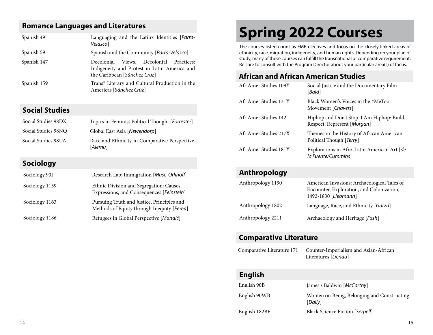### **Romance Languages and Literatures**

| Spanish 49  | Languaging and the Latinx Identities [Parra-<br>Velasco]                                                                      |
|-------------|-------------------------------------------------------------------------------------------------------------------------------|
| Spanish 59  | Spanish and the Community [ <i>Parra-Velasco</i> ]                                                                            |
| Spanish 147 | Views, Decolonial<br>Decolonial<br>Practices:<br>Indigeneity and Protest in Latin America and<br>the Caribbean [Sánchez Cruz] |
| Spanish 159 | Trans* Literary and Cultural Production in the<br>Americas [Sánchez Cruz]                                                     |

### **Social Studies**

| Social Studies 98DX | Topics in Feminist Political Thought [ <i>Forrester</i> ] |
|---------------------|-----------------------------------------------------------|
| Social Studies 98NO | Global East Asia [Newendorp]                              |
| Social Studies 98UA | Race and Ethnicity in Comparative Perspective<br>[Alemu]  |

## **Sociology**

| Sociology 90I  | Research Lab: Immigration [Muse-Orlinoff]                                                |
|----------------|------------------------------------------------------------------------------------------|
| Sociology 1159 | Ethnic Division and Segregation: Causes,<br>Expressions, and Consequences [Feinstein]    |
| Sociology 1163 | Pursuing Truth and Justice, Principles and<br>Methods of Equity through Inequity [Perea] |
| Sociology 1186 | Refugees in Global Perspective [Mandić]                                                  |

# **Spring 2022 Courses**

The courses listed count as EMR electives and focus on the closely linked areas of ethnicity, race, migration, indigeneity, and human rights. Depending on your plan of study, many of these courses can fulfill the transnational or comparative requirement. Be sure to consult with the Program Director about your particular area(s) of focus.

### **African and African American Studies**

| Afr Amer Studies 109Y | Social Justice and the Documentary Film<br>[Bald]                         |
|-----------------------|---------------------------------------------------------------------------|
| Afr Amer Studies 131Y | Black Women's Voices in the #MeToo<br>Movement [Chavers]                  |
| Afr Amer Studies 142  | Hiphop and Don't Stop. I Am Hiphop: Build,<br>Respect, Represent [Morgan] |
| Afr Amer Studies 217X | Themes in the History of African American<br>Political Though [Terry]     |
| Afr Amer Studies 181Y | Explorations in Afro-Latin American Art [de<br>la Fuente/Cummins          |

## **Anthropology**

| Anthropology 1190 | American Invasions: Archaeological Tales of<br>Encounter, Exploration, and Colonization,<br>1492-1830 [Liebmann] |
|-------------------|------------------------------------------------------------------------------------------------------------------|
| Anthropology 1802 | Language, Race, and Ethnicity [Garza]                                                                            |
| Anthropology 2211 | Archaeology and Heritage [Fash]                                                                                  |

### **Comparative Literature**

| Comparative Literature 171 | Counter-Imperialism and Asian-African |
|----------------------------|---------------------------------------|
|                            | Literatures [Lienau]                  |

## **English**

| English 90B   | James / Baldwin [ <i>McCarthy</i> ]                   |
|---------------|-------------------------------------------------------|
| English 90WB  | Women on Being, Belonging and Constructing<br>[Daily] |
| English 182BF | <b>Black Science Fiction [Serpell]</b>                |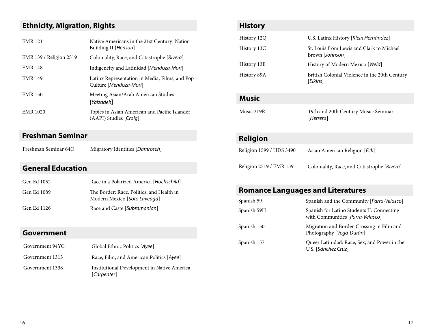## **Ethnicity, Migration, Rights**

| <b>EMR 121</b>          | Native Americans in the 21st Century: Nation<br>Building II [Henson]     |
|-------------------------|--------------------------------------------------------------------------|
| EMR 139 / Religion 2519 | Coloniality, Race, and Catastrophe [Rivera]                              |
| <b>EMR 148</b>          | Indigeneity and Latinidad [Mendoza-Mori]                                 |
| <b>EMR 149</b>          | Latinx Representation in Media, Films, and Pop<br>Culture [Mendoza-Mori] |
| <b>EMR 150</b>          | Meeting Asian/Arab American Studies<br>[Yalzadeh]                        |
| <b>EMR 1020</b>         | Topics in Asian American and Pacific Islander<br>(AAPI) Studies [Craig]  |

## **Freshman Seminar**

Freshman Seminar 64O Migratory Identities [*Damrosch*]

## **General Education**

| Gen Ed 1052 | Race in a Polarized America [Hochschild]                                  |
|-------------|---------------------------------------------------------------------------|
| Gen Ed 1089 | The Border: Race, Politics, and Health in<br>Modern Mexico [Soto Laveaga] |
| Gen Ed 1126 | Race and Caste [Subramanian]                                              |

## **Government**

| Government 94YG | Global Ethnic Politics [Ayee]                              |
|-----------------|------------------------------------------------------------|
| Government 1313 | Race, Film, and American Politics [Ayee]                   |
| Government 1338 | Institutional Development in Native America<br>[Carpenter] |

| <b>History</b>           |                                                              |
|--------------------------|--------------------------------------------------------------|
| History 12Q              | U.S. Latinx History [Klein Hernández]                        |
| History 13C              | St. Louis from Lewis and Clark to Michael<br>Brown [Johnson] |
| History 13E              | History of Modern Mexico [Weld]                              |
| History 89A              | British Colonial Violence in the 20th Century<br>[Elkins]    |
| <b>Music</b>             |                                                              |
| Music 219R               | 19th and 20th Century Music: Seminar<br>[Herrera]            |
| <b>Religion</b>          |                                                              |
| Religion 1599 / HDS 3490 | Asian American Religion [Eck]                                |
| Religion 2519 / EMR 139  | Coloniality, Race, and Catastrophe [Rivera]                  |

## **Romance Languages and Literatures**

| Spanish 59  | Spanish and the Community [Parra-Velasco]                                      |
|-------------|--------------------------------------------------------------------------------|
| Spanish 59H | Spanish for Latino Students II: Connecting<br>with Communities [Parra-Velasco] |
| Spanish 150 | Migration and Border-Crossing in Film and<br>Photography [Vega-Durán]          |
| Spanish 157 | Queer Latinidad: Race, Sex, and Power in the<br>U.S. [Sánchez Cruz]            |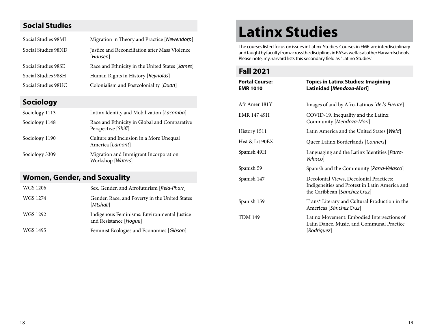### **Social Studies**

| Social Studies 98MI | Migration in Theory and Practice [Newendorp]               |
|---------------------|------------------------------------------------------------|
| Social Studies 98ND | Justice and Reconciliation after Mass Violence<br>[Hansen] |
| Social Studies 98SE | Race and Ethnicity in the United States [ <i>James</i> ]   |
| Social Studies 98SH | Human Rights in History [Reynolds]                         |
| Social Studies 98UC | Colonialism and Postcoloniality [Duan]                     |

## **Sociology**

| Sociology 1113 | Latinx Identity and Mobilization [Lacomba]                          |
|----------------|---------------------------------------------------------------------|
| Sociology 1148 | Race and Ethnicity in Global and Comparative<br>Perspective [Shiff] |
| Sociology 1190 | Culture and Inclusion in a More Unequal<br>America [Lamont]         |
| Sociology 3309 | Migration and Immigrant Incorporation<br>Workshop [Waters]          |

## **Women, Gender, and Sexuality**

| WGS 1206 | Sex, Gender, and Afrofuturism [Reid-Pharr]                            |
|----------|-----------------------------------------------------------------------|
| WGS 1274 | Gender, Race, and Poverty in the United States<br>[Mtshali]           |
| WGS 1292 | Indigenous Feminisms: Environmental Justice<br>and Resistance [Hoque] |
| WGS 1495 | Feminist Ecologies and Economies [Gibson]                             |

# **Latinx Studies**

The courses listed focus on issues in Latinx Studies. Courses in EMR are interdisciplinary and taught by faculty from across the disciplines in FAS as well as at other Harvard schools. Please note, my.harvard lists this secondary field as "Latino Studies'

### **Fall 2021**

| <b>Portal Course:</b><br><b>EMR 1010</b> | <b>Topics in Latinx Studies: Imagining</b><br>Latinidad [Mendoza-Mori]                                                    |
|------------------------------------------|---------------------------------------------------------------------------------------------------------------------------|
| Afr Amer 181Y                            | Images of and by Afro-Latinos [de la Fuente]                                                                              |
| <b>EMR 147 49H</b>                       | COVID-19, Inequality and the Latinx<br>Community [Mendoza-Mori]                                                           |
| History 1511                             | Latin America and the United States [Weld]                                                                                |
| Hist & Lit 90EX                          | Queer Latinx Borderlands [Conners]                                                                                        |
| Spanish 49H                              | Languaging and the Latinx Identities [Parra-<br>Velascol                                                                  |
| Spanish 59                               | Spanish and the Community [Parra-Velasco]                                                                                 |
| Spanish 147                              | Decolonial Views, Decolonial Practices:<br>Indigeneities and Protest in Latin America and<br>the Caribbean [Sánchez Cruz] |
| Spanish 159                              | Trans* Literary and Cultural Production in the<br>Americas [Sánchez Cruz]                                                 |
| <b>TDM 149</b>                           | Latinx Movement: Embodied Intersections of<br>Latin Dance, Music, and Communal Practice<br>[Rodríguez]                    |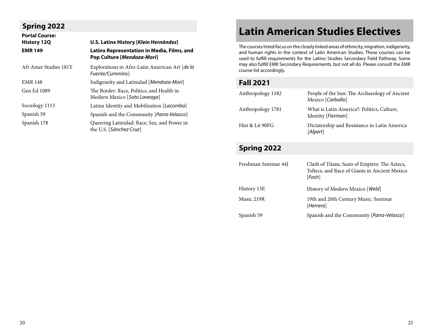## **Spring 2022**

| <b>Portal Course:</b> |                                                                                   |
|-----------------------|-----------------------------------------------------------------------------------|
| <b>History 12Q</b>    | U.S. Latinx History [Klein Hernández]                                             |
| <b>EMR 149</b>        | Latinx Representation in Media, Films, and<br>Pop Culture [ <i>Mendoza-Mori</i> ] |
| Afr Amer Studies 181Y | Explorations in Afro-Latin American Art [de la<br>Fuente/Cummins]                 |
| <b>EMR 148</b>        | Indigeneity and Latinidad [Mendoza-Mori]                                          |
| Gen Ed 1089           | The Border: Race, Politics, and Health in<br>Modern Mexico [Soto Laveaga]         |
| Sociology 1113        | Latinx Identity and Mobilization [Lacomba]                                        |
| Spanish 59            | Spanish and the Community [Parra-Velasco]                                         |
| Spanish 178           | Queering Latinidad: Race, Sex, and Power in<br>the U.S. [Sánchez Cruz]            |

## **Latin American Studies Electives**

The courses listed focus on the closely linked areas of ethnicity, migration, indigeneity, and human rights in the context of Latin American Studies. These courses can be used to fulfill requirements for the Latino Studies Secondary Field Pathway. Some may also fulfill EMR Secondary Requirements, but not all do. Please consult the EMR course list accordingly.

### **Fall 2021**

| Anthropology 1182 | People of the Sun: The Archaeology of Ancient<br>Mexico [Carballo]        |
|-------------------|---------------------------------------------------------------------------|
| Anthropology 1781 | What is Latin America?: Politics, Culture,<br>Identity [ <i>Fierman</i> ] |
| Hist & Lit 90FG   | Dictatorship and Resistance in Latin America<br>[Alpert]                  |

## **Spring 2022**

| Freshman Seminar 44J | Clash of Titans, Seats of Empires: The Aztecs,<br>Toltecs, and Race of Giants in Ancient Mexico<br>[Fash] |
|----------------------|-----------------------------------------------------------------------------------------------------------|
| History 13E          | History of Modern Mexico [Weld]                                                                           |
| Music 219R           | 19th and 20th Century Music: Seminar<br>[Herrera]                                                         |
| Spanish 59           | Spanish and the Community [ <i>Parra-Velasco</i> ]                                                        |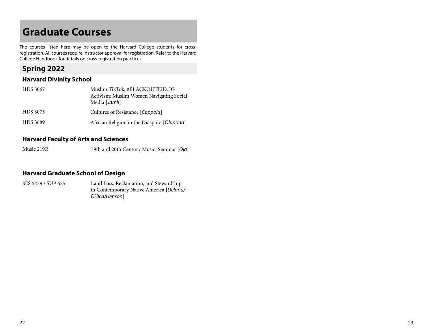## **Graduate Courses**

The courses listed here may be open to the Harvard College students for crossregistration. All courses require instructor approval for registration. Refer to the Harvard College Handbook for details on cross-registration practices.

### **Spring 2022**

### **Harvard Divinity School**

| HDS 3067 | Muslim TikTok, #BLACKOUTEID, IG            |
|----------|--------------------------------------------|
|          | Activism: Muslim Women Navigating Social   |
|          | Media [Jamil]                              |
| HDS 3075 | Cultures of Resistance [Coppola]           |
| HDS 3689 | African Religion in the Diaspora [Olupona] |

### **Harvard Faculty of Arts and Sciences**

Music 219R 19th and 20th Century Music: Seminar [*Oja*]

### **Harvard Graduate School of Design**

SES 5439 / SUP 625 Land Loss, Reclamation, and Stewardship in Contemporary Native America [*Deloria/ D'Oca/Henson*]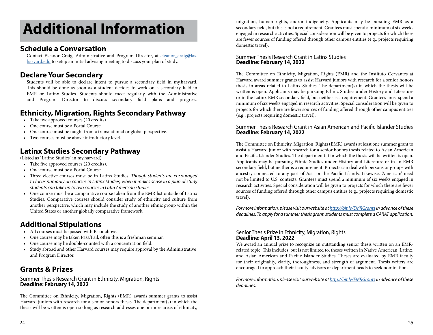# **Additional Information**

### **Schedule a Conversation**

Contact Eleanor Craig, Administrative and Program Director, at eleanor craig@fas. [harvard.edu](mailto:eleanor_craig%40fas.harvard.edu?subject=Secondary%20Field%20Advising%21) to setup an initial advising meeting to discuss your plan of study.

### **Declare Your Secondary**

Students will be able to declare intent to pursue a secondary field in my.harvard. This should be done as soon as a student decides to work on a secondary field in EMR or Latinx Studies. Students should meet regularly with the Administrative and Program Director to discuss secondary field plans and progress.

### **Ethnicity, Migration, Rights Secondary Pathway**

- Take five approved courses (20 credits).
- One course must be a Portal Course.
- One course must be taught from a transnational or global perspective.
- Two courses must be above introductory level.

### **Latinx Studies Secondary Pathway**

(Listed as "Latino Studies" in my.harvard)

- Take five approved courses (20 credits).
- One course must be a Portal Course.
- Three elective courses must be in Latinx Studies. *Though students are encouraged to focus primarily on courses in Latinx Studies, when it makes sense in a plan of study students can take up to two courses in Latin American studies.*
- One course must be a comparative course taken from the EMR list outside of Latinx Studies. Comparative courses should consider study of ethnicity and culture from another perspective, which may include the study of another ethnic group within the United States or another globally comparative framework.

## **Additional Stipulations**

- All courses must be passed with B- or above.
- One course may be taken Pass/Fail, often this is a freshman seminar.
- One course may be double-counted with a concentration field.
- Study abroad and other Harvard courses may require approval by the Administrative and Program Director.

### **Grants & Prizes**

### Summer Thesis Research Grant in Ethnicity, Migration, Rights **Deadline: February 14, 2022**

The Committee on Ethnicity, Migration, Rights (EMR) awards summer grants to assist Harvard juniors with research for a senior honors thesis. The department(s) in which the thesis will be written is open so long as research addresses one or more areas of ethnicity,

migration, human rights, and/or indigeneity. Applicants may be pursuing EMR as a secondary field, but this is not a requirement. Grantees must spend a minimum of six weeks engaged in research activities. Special consideration will be given to projects for which there are fewer sources of funding offered through other campus entities (e.g., projects requiring domestic travel).

### Summer Thesis Research Grant in Latinx Studies **Deadline: February 14, 2022**

The Committee on Ethnicity, Migration, Rights (EMR) and the Instituto Cervantes at Harvard award summer grants to assist Harvard juniors with research for a senior honors thesis in areas related to Latinx Studies. The department(s) in which the thesis will be written is open. Applicants may be pursuing Ethnic Studies under History and Literature or in the Latinx EMR secondary field, but neither is a requirement. Grantees must spend a minimum of six weeks engaged in research activities. Special consideration will be given to projects for which there are fewer sources of funding offered through other campus entities (e.g., projects requiring domestic travel).

### Summer Thesis Research Grant in Asian American and Pacific Islander Studies **Deadline: February 14, 2022**

The Committee on Ethnicity, Migration, Rights (EMR) awards at least one summer grant to assist a Harvard junior with research for a senior honors thesis related to Asian American and Pacific Islander Studies. The department(s) in which the thesis will be written is open. Applicants may be pursuing Ethnic Studies under History and Literature or in an EMR secondary field, but neither is a requirement. Projects can deal with persons or groups with ancestry connected to any part of Asia or the Pacific Islands. Likewise, 'American' need not be limited to U.S. contexts. Grantees must spend a minimum of six weeks engaged in research activities. Special consideration will be given to projects for which there are fewer sources of funding offered through other campus entities (e.g., projects requiring domestic travel).

*For more information, please visit our website at http://bit.ly/EMRGrants in advance of these deadlines. To apply for a summer thesis grant, students must complete a CARAT application.* 

### Senior Thesis Prize in Ethnicity, Migration, Rights **Deadline: April 13, 2022**

We award an annual prize to recognize an outstanding senior thesis written on an EMRrelated topic. This includes, but is not limited to, theses written in Native American, Latinx, and Asian American and Pacific Islander Studies. Theses are evaluated by EMR faculty for their originality, clarity, thoroughness, and strength of argument. Thesis writers are encouraged to approach their faculty advisors or department heads to seek nomination.

*For more information, please visit our website at http://bit.ly/EMRGrants in advance of these deadlines.*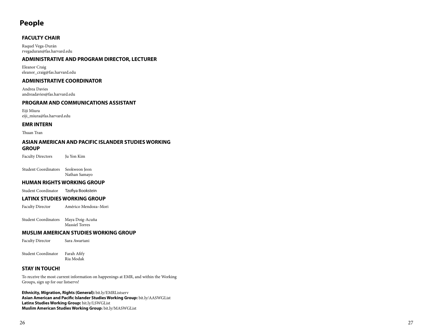### **People**

### **FACULTY CHAIR**

Raquel Vega-Durán rvegaduran@fas.harvard.edu

### **ADMINISTRATIVE AND PROGRAM DIRECTOR, LECTURER**

Eleanor Craig eleanor\_craig@fas.harvard.edu

#### **ADMINISTRATIVE COORDINATOR**

Andrea Davies andreadavies@fas.harvard.edu

### **PROGRAM AND COMMUNICATIONS ASSISTANT**

Eiji Miura eiji\_miura@fas.harvard.edu

#### **EMR INTERN**

Thuan Tran

#### **ASIAN AMERICAN AND PACIFIC ISLANDER STUDIES WORKING GROUP**

Faculty Directors Ju Yon Kim

Student Coordinators Seokweon Jeon Nathan Samayo

#### **HUMAN RIGHTS WORKING GROUP**

Student Coordinator Tzofiya Bookstein

#### **LATINX STUDIES WORKING GROUP**

Faculty Director Américo Mendoza–Mori

Student Coordinators Maya Doig-Acuña Massiel Torres

#### **MUSLIM AMERICAN STUDIES WORKING GROUP**

Faculty Director Sara Awartani

Student Coordinator Farah Afify Ria Modak

### **STAY IN TOUCH!**

To receive the most current information on happenings at EMR, and within the Working Groups, sign up for our listservs!

**Ethnicity, Migration, Rights (General):** bit.ly/EMRListserv **Asian American and Pacific Islander Studies Working Group:** bit.ly/AASWGList **Latinx Studies Working Group:** bit.ly/LSWGList **Muslim American Studies Working Group :** bit.ly/MASWGList